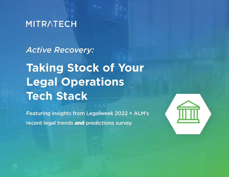## **MITRATECH**

*Active Recovery:* 

**Taking Stock of Your Legal Operations Tech Stack** 

Featuring insights from Legalweek 2022 + ALM's recent legal trends and predictions survey

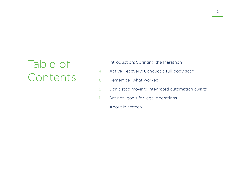# Table of Contents

Introduction: Sprinting the Marathon

- Active Recovery: Conduct a full-body scan 4
- Remember what worked 6
- Don't stop moving: Integrated automation awaits 9
- Set new goals for legal operations 11
	- About Mitratech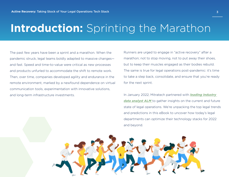# **Introduction:** Sprinting the Marathon

The past few years have been a sprint and a marathon. When the pandemic struck, legal teams boldly adapted to massive changes and fast. Speed and time-to-value were critical as new processes and products unfurled to accommodate the shift to remote work. Then, over time, companies developed agility and endurance in the remote environment, marked by a newfound dependence on virtual communication tools, experimentation with innovative solutions, and long-term infrastructure investments.

Runners are urged to engage in "active recovery" after a marathon; not to stop moving, not to put away their shoes, but to keep their muscles engaged as their bodies rebuild. The same is true for legal operations post-pandemic: it's time to take a step back, consolidate, and ensure that you're ready for the next sprint.

In January 2022, Mitratech partnered with *[leading industry](https://www.alm.com/intelligence/solutions-we-provide/business-of-law-solutions/surveys-rankings-and-reports/)  [data analyst ALM](https://www.alm.com/intelligence/solutions-we-provide/business-of-law-solutions/surveys-rankings-and-reports/)* to gather insights on the current and future state of legal operations. We're unpacking the top legal trends and predictions in this eBook to uncover how today's legal departments can optimize their technology stacks for 2022 and beyond.

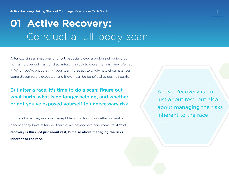# **01 Active Recovery:** Conduct a full-body scan

After exerting a great deal of effort, especially over a prolonged period, it's normal to overlook pain or discomfort in a rush to cross the finish line. We get it! When you're encouraging your team to adapt to wildly new circumstances, some discomfort is expected, and it even can be beneficial to push through.

But after a race, it's time to do a scan: figure out what hurts, what is no longer helping, and whether or not you've exposed yourself to unnecessary risk.

Runners know they're more susceptible to colds or injury after a marathon because they have extended themselves beyond ordinary measure. **Active recovery is thus not just about rest, but also about managing the risks inherent to the race.**

Active Recovery is not just about rest, but also about managing the risks inherent to the race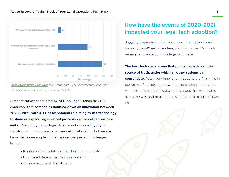

*[ALM 2022 survey results:](https://www.alm.com/intelligence/solutions-we-provide/business-of-law-solutions/surveys-rankings-and-reports/) More than half (58%) accelerated legal-tech adoption as a result of events of 2020-2021*

A recent survey conducted by ALM on Legal Trends for 2022 confirmed that **companies doubled down on innovation between 2020 - 2021, with 40% of respondents claiming to use technology to share or expand legal-vetted processes across other business units.** It's exciting to see legal departments embracing digital transformation for cross-departmental collaboration, but we also know that sweeping tech integrations can present challenges, including:

- Point-and-click solutions that don't communicate
- Duplicated data across multiple systems
- An increased error threatscape

### How have the events of 2020-2021 impacted your legal tech adoption?

Juggling disparate vendors was also a frustration shared by many LegalWeek attendees, confirming that it's time to reimagine how we build the legal tech suite.

### **The best tech stack is one that points towards a single source of truth, under which all other systems can**

**consolidate.** Patchwork innovation got us to the finish line in our years of anxiety, but now that there is room to breathe, we need to identify the gaps and overlaps that we created along the way and begin addressing them to mitigate future

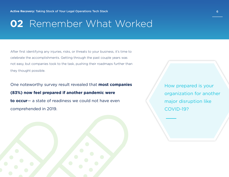## **02** Remember What Worked

After first identifying any injuries, risks, or threats to your business, it's time to celebrate the accomplishments. Getting through the past couple years was not easy, but companies took to the task, pushing their roadmaps further than they thought possible.

One noteworthy survey result revealed that **most companies (83%) now feel prepared if another pandemic were to occur**— a state of readiness we could not have even comprehended in 2019.

How prepared is your organization for another major disruption like COVID-19?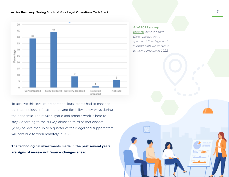#### **Active Recovery:** Taking Stock of Your Legal Operations Tech Stack **7**



To achieve this level of preparation, legal teams had to enhance their technology, infrastructure, and flexibility in key ways during the pandemic. The result? Hybrid and remote work is here to stay. According to the survey, almost a third of participants (29%) believe that up to a quarter of their legal and support staff will continue to work remotely in 2022.

**The technological investments made in the past several years are signs of more— not fewer— changes ahead.**

#### *[ALM 2022 survey](https://www.alm.com/intelligence/solutions-we-provide/business-of-law-solutions/surveys-rankings-and-reports/)*

*[results](https://www.alm.com/intelligence/solutions-we-provide/business-of-law-solutions/surveys-rankings-and-reports/): Almost a third (29%) believe up to quarter of their legal and support staff will continue to work remotely in 2022*

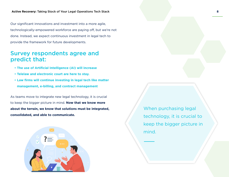Our significant innovations and investment into a more agile, technologically-empowered workforce are paying off, but we're not done. Instead, we expect continuous investment in legal tech to provide the framework for future developments.

### Survey respondents agree and predict that:

- **• The use of Artificial Intelligence (AI) will increase**
- **• Telelaw and electronic court are here to stay.**
- **• Law firms will continue investing in legal tech like matter management, e-billing, and contract management**

As teams move to integrate new legal technology, it is crucial to keep the bigger picture in mind. **Now that we know more about the terrain, we know that solutions must be integrated, consolidated, and able to communicate.**



When purchasing legal technology, it is crucial to keep the bigger picture in mind.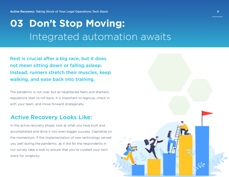# **03 Don't Stop Moving:** Integrated automation awaits

Rest is crucial after a big race, but it does not mean sitting down or falling asleep. Instead, runners stretch their muscles, keep walking, and ease back into training.

The pandemic is not over, but as heightened fears and dramatic regulations start to roll back, it is important to regroup, check in with your team, and move forward strategically.

### Active Recovery Looks Like:

In the active recovery phase, look at what you have built and accomplished and drive it into even bigger success. Capitalize on the momentum. If the implementation of new technology served you well during the pandemic, as it did for the respondents in our survey, take a look to ensure that you've curated your tech stack for longevity.

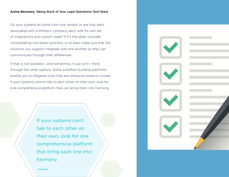#### **Active Recovery:** Taking Stock of Your Legal Operations Tech Stack **10**

Do your systems all come from one vendor, or are they each associated with a different company, each with its own set of integrations and custom code? If it's the latter, consider consolidating into fewer solutions, or at least make sure that the solutions you support integrate with one another so they can communicate through their differences.

If that is not possible— and sometimes, it just isn't— think through the other options. Some workflow-building platforms enable you to integrate tools that are otherwise siloed or muted. If your systems cannot talk to each other on their own, look for one comprehensive platform that can bring them into harmony.

> If your systems can't talk to each other on their own, look for one comprehensive platform that bring each one into harmony.

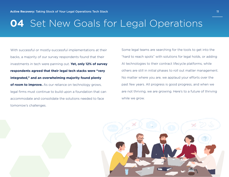## **04** Set New Goals for Legal Operations

With successful or mostly-successful implementations at their backs, a majority of our survey respondents found that their investments in tech were panning out. **Yet, only 12% of survey respondents agreed that their legal tech stacks were "very integrated," and an overwhelming majority found plenty of room to improve.** As our reliance on technology grows, legal firms must continue to build upon a foundation that can accommodate and consolidate the solutions needed to face tomorrow's challenges.

Some legal teams are searching for the tools to get into the "hard to reach spots" with solutions for legal holds, or adding AI technologies to their contract lifecycle platforms, while others are still in initial phases to roll out matter management. No matter where you are, we applaud your efforts over the past few years. All progress is good progress, and when we are not thriving, we are growing. Here's to a future of thriving while we grow.